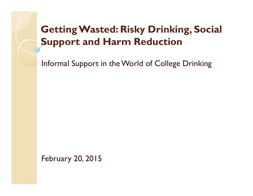#### Getting Wasted: Risky Drinking, Social Support and Harm Reduction

Informal Support in the World of College Drinking

February 20, 2015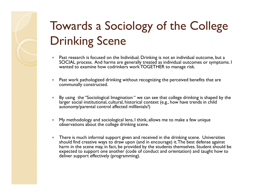## Towards a Sociology of the College Drinking Scene

- $\bullet$  Past research is focused on the Individual. Drinking is not an individual outcome, but a SOCIAL process. And harms are generally treated as individual outcomes or symptoms. I wanted to examine how codrinkers work TOGETHER to manage risk.
- Past work pathologized drinking without recognizing the perceived benefits that are communally constructed. communally constructed.
- $\bullet$  By using the "Sociological Imagination " we can see that college drinking is shaped by the larger social institutional, cultural, historical context (e.g., how have trends in child autonomy/parental control affected milllenials?)
- $\bullet$  My methodology and sociological lens, I think, allows me to make a few unique observations about the college drinking scene.
- $\bullet$  There is much informal support given and received in the drinking scene. Universities should find creative ways to draw upon (and in encourage) it. The best defense against harm in the scene may, in fact, be provided by the students themselves. Student should be expected to support one another (code of conduct and orientation) and taught how to deliver support effectively (programming).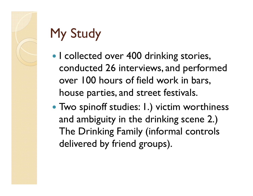# My Study

- I collected over 400 drinking stories, conducted 26 interviews, and performed over 100 hours of field work in bars, house parties, and street festivals.
- Two spinoff studies: 1.) victim worthiness and ambiguity in the drinking scene 2.) The Drinking Family (informal controls delivered by friend groups).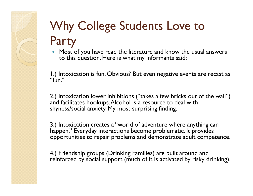## Why College Students Love to Party

• Most of you have read the literature and know the usual answers  $\bullet$ to this question. Here is what my informants said:

1.) Intoxication is fun. Obvious? But even negative events are recast as "fun."

2.) Intoxication lower inhibitions ("takes a few bricks out of the wall") and facilitates hookups. Alcohol is a resource to deal with shyness/social anxiety. My most surprising finding.

3.) Intoxication creates a "world of adventure where anything can happen." Everyday interactions become problematic. It provides opportunities to repair problems and demonstrate adult competence.

4.) Friendship groups (Drinking Families) are built around and reinforced by social support (much of it is activated by risky drinking).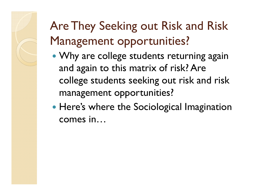## Are They Seeking out Risk and Risk Management opportunities?

- Why are college students returning again and again to this matrix of risk? Are college students seeking out risk and risk management opportunities?
- Here's where the Sociological Imagination comes in…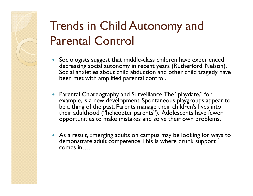## Trends in Child Autonomy and Parental Control

- Sociologists suggest that middle-class children have experienced decreasing social autonomy in recent years (Rutherford, Nelson). Social anxieties about child abduction and other child tragedy have been met with amplified parental control.
- Parental Choreography and Surveillance. The "playdate," for example, is a new development. Spontaneous playgroups appear to be a thing of the past. Parents manage their children's lives into their adulthood ("helicopter parents"). Adolescents have fewer opportunities to make mistakes and solve their own problems.
- As a result, Emerging adults on campus may be looking for ways to demonstrate adult competence. This is where drunk support comes in….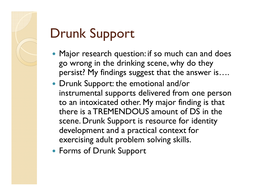# Drunk Support

- Major research question: if so much can and does go wrong in the drinking scene, why do they persist? My findings suggest that the answer is….
- Drunk Support: the emotional and/or instrumental supports delivered from one person to an intoxicated other. My major finding is that there is a TREMENDOUS amount of DS in the scene. Drunk Support is resource for identity development and a practical context for exercising adult problem solving skills.
- Forms of Drunk Support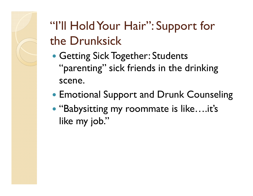"I'll Hold Your Hair": Support for the Drunksick

- Getting Sick Together: Students "parenting" sick friends in the drinking scene.
- Emotional Support and Drunk Counseling
- "Babysitting my roommate is like….it's like my job."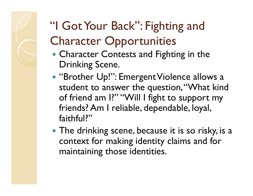## "I Got Your Back": Fighting and Character Opportunities

- Character Contests and Fighting in the Drinking Scene.
- "Brother Up!": Emergent Violence allows a student to answer the question, "What kind of friend am I?" "Will I fight to support my friends? Am I reliable, dependable, loyal, faithful?"
- The drinking scene, because it is so risky, is a context for making identity claims and for maintaining those identities.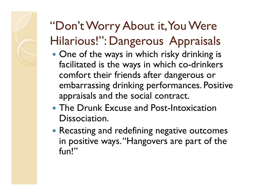## "Don't Worry About it, You Were Hilarious!": Dangerous Appraisals

- One of the ways in which risky drinking is facilitated is the ways in which co-drinkers comfort their friends after dangerous or embarrassing drinking performances. Positive appraisals and the social contract.
- The Drunk Excuse and Post-Intoxication Dissociation.
- Recasting and redefining negative outcomes in positive ways. "Hangovers are part of the fun!"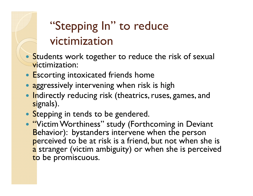## "Stepping In" to reduce victimization

- **Students work together to reduce the risk of sexual** victimization:
- Escorting intoxicated friends home
- aggressively intervening when risk is high
- Indirectly reducing risk (theatrics, ruses, games, and signals).
- Stepping in tends to be gendered.
- "Victim Worthiness" study (Forthcoming in Deviant Behavior): bystanders intervene when the person perceived to be at risk is a friend, but not when she is  $\,$ <mark>a</mark> stranger (victim ambiguity) or when she is perceived to be promiscuous.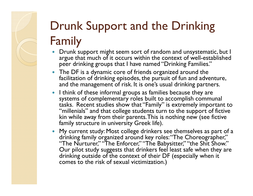## Drunk Support and the Drinking Family

- Drunk support might seem sort of random and unsystematic, but I argue that much of it occurs within the context of well-established peer drinking groups that I have named "Drinking Families."
- $\bullet$  The DF is a dynamic core of friends organized around the facilitation of drinking episodes, the pursuit of fun and adventure, and the management of risk. It is one's usual drinking partners.
- $\bullet$  I think of these informal groups as families because they are systems of complementary roles built to accomplish communal tasks. Recent studies show that "Family" is extremely important to "millenials" and that college students turn to the support of fictive kin while away from their parents. This is nothing new (see fictive family structure in university Greek life).
- My current study: Most college drinkers see themselves as part of a drinking family organized around key roles: "The Choreographer," "The Nurturer," "The Enforcer," "The Babysitter," "the Shit Show." Our pilot study suggests that drinkers feel least safe when they are drinking outside of the context of their DF (especially when it comes to the risk of sexual victimization.)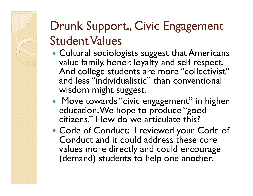## Drunk Support,, Civic Engagement Student Values

- Cultural sociologists suggest that Americans value family, honor, loyalty and self respect. And college students are more "collectivist" and less "individualistic" than conventional wisdom might suggest.
- Move towards "civic engagement" in higher education. We hope to produce "good citizens." How do we articulate this?
- Code of Conduct: I reviewed your Code of Conduct and it could address these core values more directly and could encourage (demand) students to help one another.